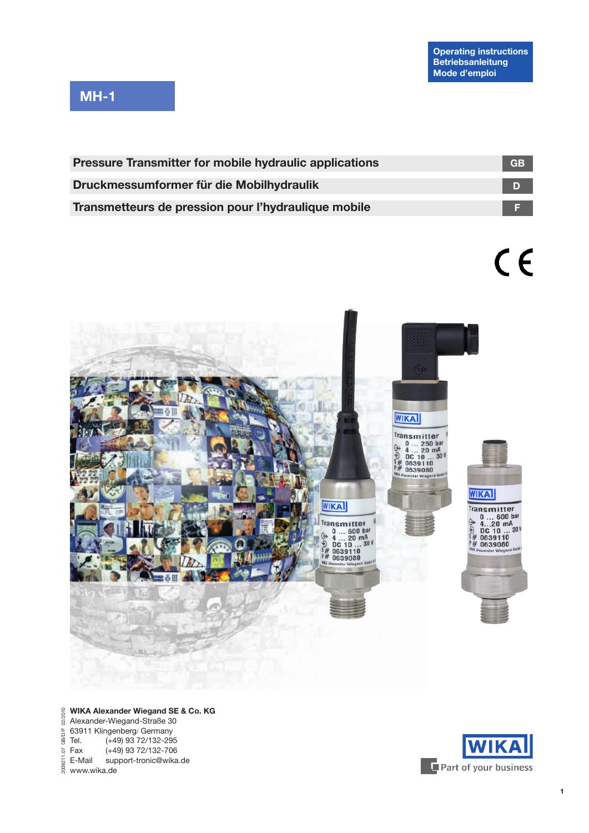# **MH-1**

| <b>Pressure Transmitter for mobile hydraulic applications</b> | <b>GB</b> |
|---------------------------------------------------------------|-----------|
| Druckmessumformer für die Mobilhydraulik                      |           |
| Transmetteurs de pression pour l'hydraulique mobile           |           |

 $C<sub>f</sub>$ 



#### 02/2010 **WIKA Alexander Wiegand SE & Co. KG** 2009211.07 GB/D/F 02/2010Alexander-Wiegand-Straße 30  $GBID/F$ 63911 Klingenberg/ Germany Tel. (+49) 93 72/132-295  $(+49)$  93 72/132-706

support-tronic@wika.de  $\frac{1}{2}$  Fax  $(+4\frac{4}{3})$ <br> $\frac{1}{2}$  E-Mail sup<br> $\frac{2}{8}$  www.wika.de

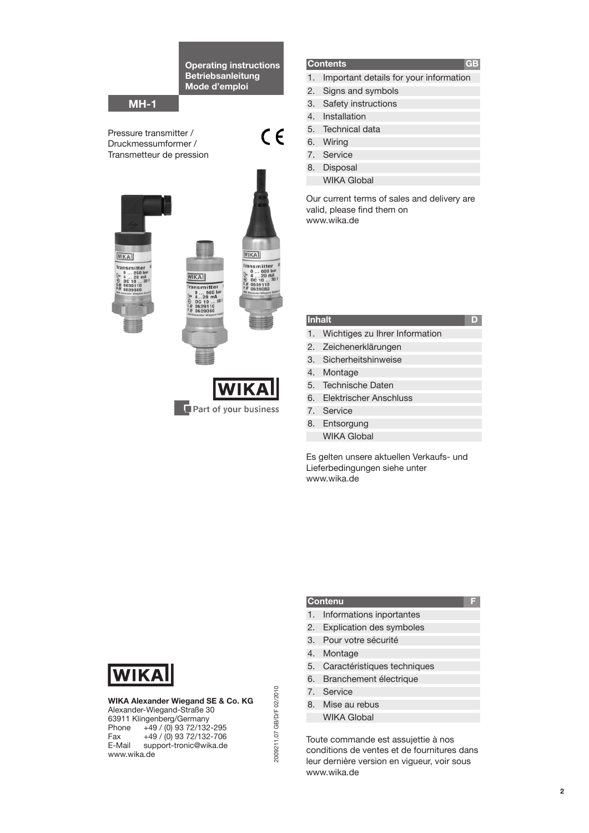**Operating instructions Betriebsanleitung Mode d'emploi**

 $C \in$ 

## **MH-1**

Pressure transmitter / Druckmessumformer / Transmetteur de pression



Part of your business

#### **Contents**

- 1. Important details for your information
- 2. Signs and symbols
- 3. Safety instructions
- 4. Installation
- 5. Technical data
- 6. Wiring
- 7. Service
- 8. Disposal
	- WIKA Global

Our current terms of sales and delivery are valid, please find them on www.wika.de

#### **Inhalt**

- 1. Wichtiges zu Ihrer Information
- 2. Zeichenerklärungen
- 3. Sicherheitshinweise
- 4. Montage
- 5. Technische Daten
- 6. Elektrischer Anschluss
- 7. Service
- 8. Entsorgung
- WIKA Global Es gelten unsere aktuellen Verkaufs- und Lieferbedingungen siehe unter

www.wika.de

# **WIKA**

**WIKA Alexander Wiegand SE & Co. KG** Alexander-Wiegand-Straße 30 63911 Klingenberg/Germany Phone +49 / (0) 93 72/132-295 Fax  $+49 / (0) 93 72/132 - 706$ <br>E-Mail support-tronic@wika.de support-tronic@wika.de www.wika.de

#### **Contenu F**

- 1. Informations inportantes
- 2. Explication des symboles
- 3. Pour votre sécurité
- 4. Montage
- 5. Caractéristiques techniques
- 6. Branchement électrique
- 7. Service
- 8. Mise au rebus

2009211.07 GB/D/F 02/2010

2009211.07 GB/D/F 02/2010

WIKA Global

Toute commande est assujettie à nos conditions de ventes et de fournitures dans leur dernière version en vigueur, voir sous www.wika.de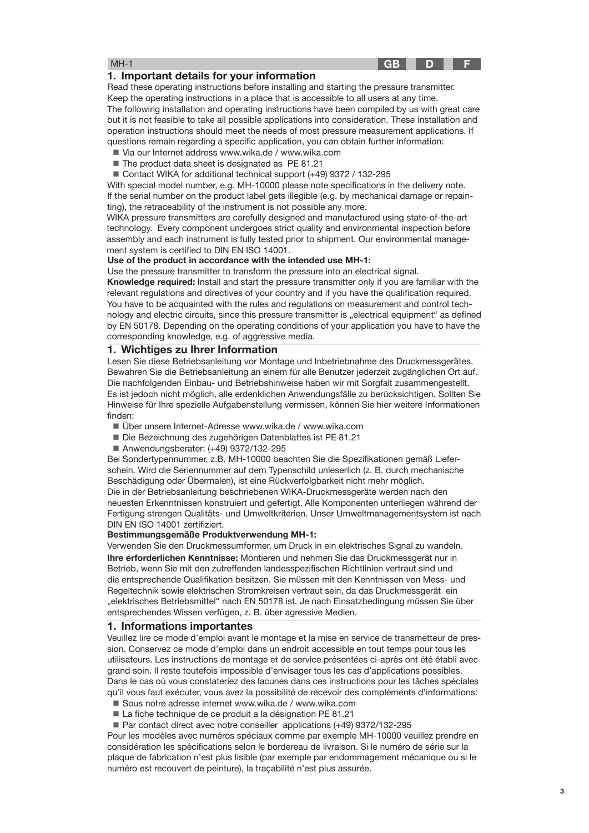# **GB D F**

#### MH-1

#### **1. Important details for your information**

Read these operating instructions before installing and starting the pressure transmitter. Keep the operating instructions in a place that is accessible to all users at any time. The following installation and operating instructions have been compiled by us with great care but it is not feasible to take all possible applications into consideration. These installation and operation instructions should meet the needs of most pressure measurement applications. If questions remain regarding a specific application, you can obtain further information:

- Via our Internet address www.wika.de / www.wika.com
- The product data sheet is designated as PE 81.21
- Contact WIKA for additional technical support (+49) 9372 / 132-295

With special model number, e.g. MH-10000 please note specifications in the delivery note. If the serial number on the product label gets illegible (e.g. by mechanical damage or repainting), the retraceability of the instrument is not possible any more.

WIKA pressure transmitters are carefully designed and manufactured using state-of-the-art technology. Every component undergoes strict quality and environmental inspection before assembly and each instrument is fully tested prior to shipment. Our environmental management system is certified to DIN EN ISO 14001.

#### **Use of the product in accordance with the intended use MH-1:**

Use the pressure transmitter to transform the pressure into an electrical signal.

**Knowledge required:** Install and start the pressure transmitter only if you are familiar with the relevant regulations and directives of your country and if you have the qualification required. You have to be acquainted with the rules and regulations on measurement and control technology and electric circuits, since this pressure transmitter is "electrical equipment" as defined by EN 50178. Depending on the operating conditions of your application you have to have the corresponding knowledge, e.g. of aggressive media.

#### **1. Wichtiges zu Ihrer Information**

Lesen Sie diese Betriebsanleitung vor Montage und Inbetriebnahme des Druckmessgerätes. Bewahren Sie die Betriebsanleitung an einem für alle Benutzer jederzeit zugänglichen Ort auf. Die nachfolgenden Einbau- und Betriebshinweise haben wir mit Sorgfalt zusammengestellt. Es ist jedoch nicht möglich, alle erdenklichen Anwendungsfälle zu berücksichtigen. Sollten Sie Hinweise für Ihre spezielle Aufgabenstellung vermissen, können Sie hier weitere Informationen finden:

- Über unsere Internet-Adresse www.wika.de / www.wika.com
- Die Bezeichnung des zugehörigen Datenblattes ist PE 81.21
- Anwendungsberater: (+49) 9372/132-295

Bei Sondertypennummer, z.B. MH-10000 beachten Sie die Spezifikationen gemäß Lieferschein. Wird die Seriennummer auf dem Typenschild unleserlich (z. B. durch mechanische Beschädigung oder Übermalen), ist eine Rückverfolgbarkeit nicht mehr möglich. Die in der Betriebsanleitung beschriebenen WIKA-Druckmessgeräte werden nach den neuesten Erkenntnissen konstruiert und gefertigt. Alle Komponenten unterliegen während der Fertigung strengen Qualitäts- und Umweltkriterien. Unser Umweltmanagementsystem ist nach DIN EN ISO 14001 zertifiziert.

#### **Bestimmungsgemäße Produktverwendung MH-1:**

**Ihre erforderlichen Kenntnisse:** Montieren und nehmen Sie das Druckmessgerät nur in Betrieb, wenn Sie mit den zutreffenden landesspezifischen Richtlinien vertraut sind und die entsprechende Qualifikation besitzen. Sie müssen mit den Kenntnissen von Mess- und Regeltechnik sowie elektrischen Stromkreisen vertraut sein, da das Druckmessgerät ein "elektrisches Betriebsmittel" nach EN 50178 ist. Je nach Einsatzbedingung müssen Sie über entsprechendes Wissen verfügen, z. B. über agressive Medien. Verwenden Sie den Druckmessumformer, um Druck in ein elektrisches Signal zu wandeln.

#### **1. Informations importantes**

Veuillez lire ce mode d'emploi avant le montage et la mise en service de transmetteur de pression. Conservez ce mode d'emploi dans un endroit accessible en tout temps pour tous les utilisateurs. Les instructions de montage et de service présentées ci-après ont été établi avec grand soin. Il reste toutefois impossible d'envisager tous les cas d'applications possibles. Dans le cas où vous constateriez des lacunes dans ces instructions pour les tâches spéciales qu'il vous faut exécuter, vous avez la possibilité de recevoir des compléments d'informations: ■ Sous notre adresse internet www.wika.de / www.wika.com

- La fiche technique de ce produit a la désignation PE 81.21
- Par contact direct avec notre conseiller applications (+49) 9372/132-295

Pour les modèles avec numéros spéciaux comme par exemple MH-10000 veuillez prendre en considération les spécifications selon le bordereau de livraison. Si le numéro de série sur la plaque de fabrication n'est plus lisible (par exemple par endommagement mécanique ou si le numéro est recouvert de peinture), la traçabilité n'est plus assurée.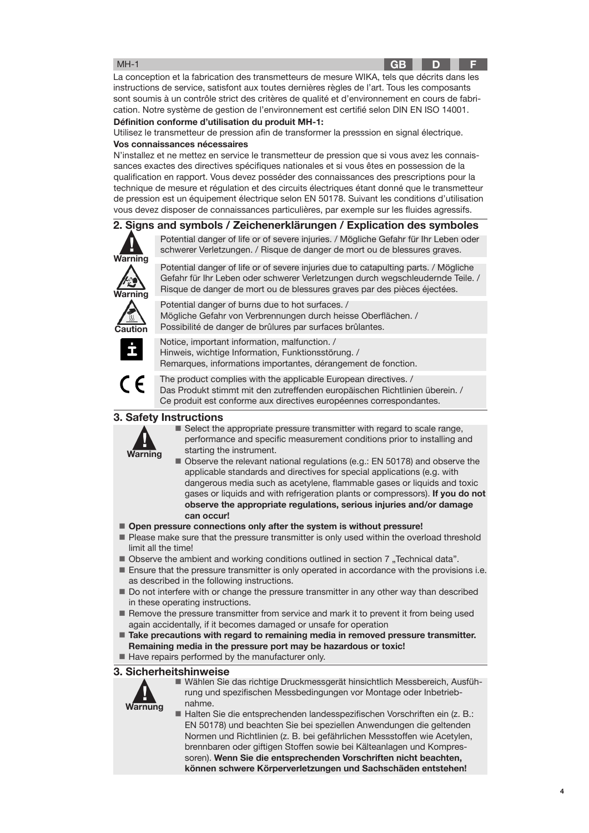#### MH-1

La conception et la fabrication des transmetteurs de mesure WIKA, tels que décrits dans les instructions de service, satisfont aux toutes dernières règles de l'art. Tous les composants sont soumis à un contrôle strict des critères de qualité et d'environnement en cours de fabrication. Notre système de gestion de l'environnement est certifié selon DIN EN ISO 14001.

**Définition conforme d'utilisation du produit MH-1:**

**Vos connaissances nécessaires** Utilisez le transmetteur de pression afin de transformer la presssion en signal électrique.

N'installez et ne mettez en service le transmetteur de pression que si vous avez les connaissances exactes des directives spécifiques nationales et si vous êtes en possession de la qualification en rapport. Vous devez posséder des connaissances des prescriptions pour la technique de mesure et régulation et des circuits électriques étant donné que le transmetteur de pression est un équipement électrique selon EN 50178. Suivant les conditions d'utilisation vous devez disposer de connaissances particulières, par exemple sur les fluides agressifs.

# **2. Signs and symbols / Zeichenerklärungen / Explication des symboles**



Potential danger of life or of severe injuries. / Mögliche Gefahr für Ihr Leben oder schwerer Verletzungen. / Risque de danger de mort ou de blessures graves.

Potential danger of life or of severe injuries due to catapulting parts. / Mögliche Gefahr für Ihr Leben oder schwerer Verletzungen durch wegschleudernde Teile. / Risque de danger de mort ou de blessures graves par des pièces éjectées.



Potential danger of burns due to hot surfaces. / Mögliche Gefahr von Verbrennungen durch heisse Oberflächen. / Possibilité de danger de brûlures par surfaces brûlantes.



Notice, important information, malfunction. / Hinweis, wichtige Information, Funktionsstörung. / Remarques, informations importantes, dérangement de fonction.



The product complies with the applicable European directives. / Das Produkt stimmt mit den zutreffenden europäischen Richtlinien überein. / Ce produit est conforme aux directives européennes correspondantes.

#### **3. Safety Instructions**



■ Select the appropriate pressure transmitter with regard to scale range, performance and specific measurement conditions prior to installing and starting the instrument.

 Observe the relevant national regulations (e.g.: EN 50178) and observe the applicable standards and directives for special applications (e.g. with dangerous media such as acetylene, flammable gases or liquids and toxic gases or liquids and with refrigeration plants or compressors). **If you do not observe the appropriate regulations, serious injuries and/or damage can occur!**

■ Open pressure connections only after the system is without pressure!

- Please make sure that the pressure transmitter is only used within the overload threshold limit all the time!
- Observe the ambient and working conditions outlined in section 7 "Technical data".
- **Ensure that the pressure transmitter is only operated in accordance with the provisions i.e.** as described in the following instructions.
- Do not interfere with or change the pressure transmitter in any other way than described in these operating instructions.
- Remove the pressure transmitter from service and mark it to prevent it from being used again accidentally, if it becomes damaged or unsafe for operation
- **Take precautions with regard to remaining media in removed pressure transmitter. Remaining media in the pressure port may be hazardous or toxic!**
- Have repairs performed by the manufacturer only.

**3. Sicherheitshinweise**

**! Warnung**

 Wählen Sie das richtige Druckmessgerät hinsichtlich Messbereich, Ausführung und spezifischen Messbedingungen vor Montage oder Inbetriebnahme.

■ Halten Sie die entsprechenden landesspezifischen Vorschriften ein (z. B.: EN 50178) und beachten Sie bei speziellen Anwendungen die geltenden Normen und Richtlinien (z. B. bei gefährlichen Messstoffen wie Acetylen, brennbaren oder giftigen Stoffen sowie bei Kälteanlagen und Kompressoren). **Wenn Sie die entsprechenden Vorschriften nicht beachten, können schwere Körperverletzungen und Sachschäden entstehen!**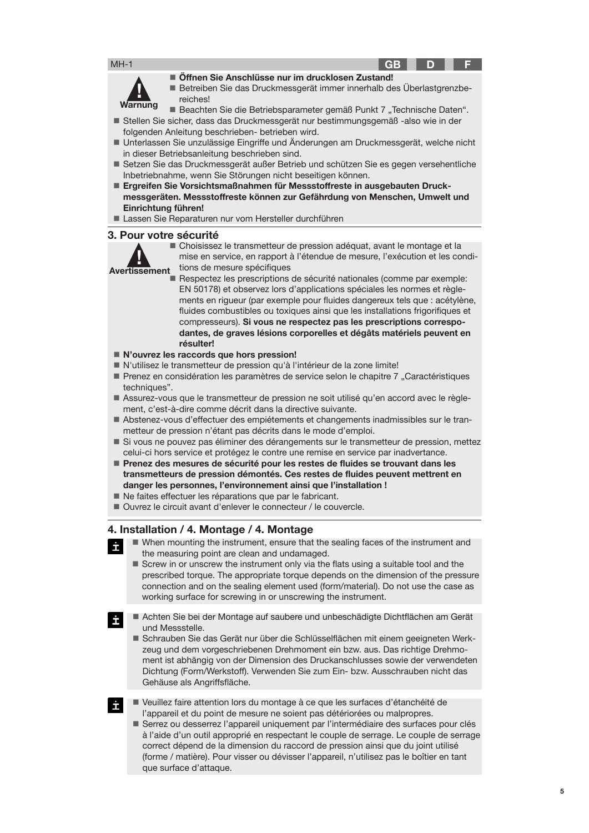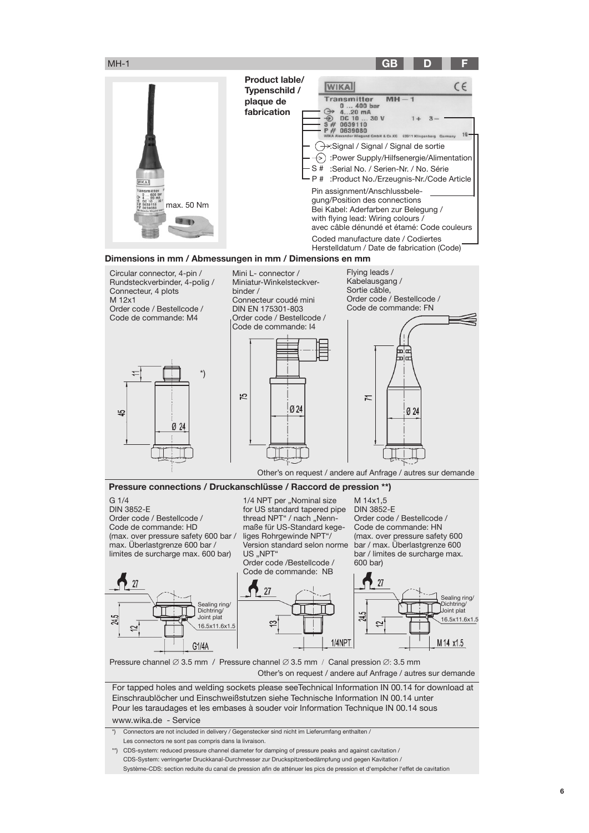

\*) Connectors are not included in delivery / Gegenstecker sind nicht im Lieferumfang enthalten / Les connectors ne sont pas compris dans la livraison.

\*\*) CDS-system: reduced pressure channel diameter for damping of pressure peaks and against cavitation / CDS-System: verringerter Druckkanal-Durchmesser zur Druckspitzenbedämpfung und gegen Kavitation / Système-CDS: section reduite du canal de pression afin de atténuer les pics de pression et d'empêcher l'effet de cavitation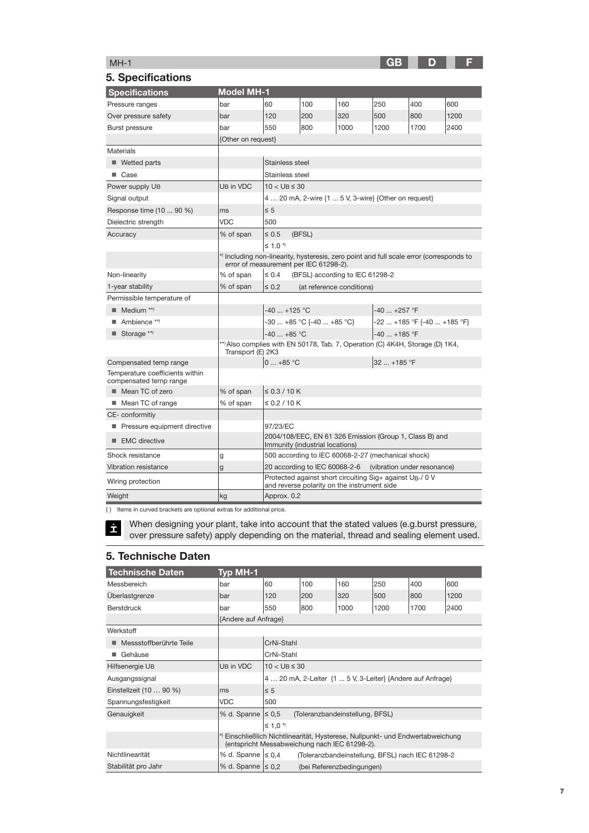# **GB D F**

# MH-1

| 5. Specifications                                         |                                                                                                    |                                                                                                                                   |                                             |      |                                                                       |                             |      |  |
|-----------------------------------------------------------|----------------------------------------------------------------------------------------------------|-----------------------------------------------------------------------------------------------------------------------------------|---------------------------------------------|------|-----------------------------------------------------------------------|-----------------------------|------|--|
| <b>Specifications</b>                                     | <b>Model MH-1</b>                                                                                  |                                                                                                                                   |                                             |      |                                                                       |                             |      |  |
| Pressure ranges                                           | bar                                                                                                | 60                                                                                                                                | 100                                         | 160  | 250                                                                   | 400                         | 600  |  |
| Over pressure safety                                      | bar                                                                                                | 120                                                                                                                               | 200                                         | 320  | 500                                                                   | 800                         | 1200 |  |
| <b>Burst pressure</b>                                     | bar                                                                                                | 550                                                                                                                               | 800                                         | 1000 | 1200                                                                  | 1700                        | 2400 |  |
|                                                           | {Other on request}                                                                                 |                                                                                                                                   |                                             |      |                                                                       |                             |      |  |
| <b>Materials</b>                                          |                                                                                                    |                                                                                                                                   |                                             |      |                                                                       |                             |      |  |
| ■ Wetted parts                                            |                                                                                                    | Stainless steel                                                                                                                   |                                             |      |                                                                       |                             |      |  |
| ■ Case                                                    |                                                                                                    | Stainless steel                                                                                                                   |                                             |      |                                                                       |                             |      |  |
| Power supply UB                                           | UB in VDC                                                                                          | $10 <$ UB $\leq 30$                                                                                                               |                                             |      |                                                                       |                             |      |  |
| Signal output                                             |                                                                                                    |                                                                                                                                   |                                             |      | 4  20 mA, 2-wire {1  5 V, 3-wire} {Other on request}                  |                             |      |  |
| Response time (10  90 %)                                  | ms                                                                                                 | $\leq 5$                                                                                                                          |                                             |      |                                                                       |                             |      |  |
| Dielectric strength                                       | <b>VDC</b>                                                                                         | 500                                                                                                                               |                                             |      |                                                                       |                             |      |  |
| Accuracy                                                  | % of span                                                                                          | $\leq 0.5$                                                                                                                        | (BFSL)                                      |      |                                                                       |                             |      |  |
|                                                           | $\leq$ 1.0 $^{*}$                                                                                  |                                                                                                                                   |                                             |      |                                                                       |                             |      |  |
|                                                           |                                                                                                    | *) Including non-linearity, hysteresis, zero point and full scale error (corresponds to<br>error of measurement per IEC 61298-2). |                                             |      |                                                                       |                             |      |  |
| Non-linearity                                             | % of span<br>$\leq 0.4$<br>(BFSL) according to IEC 61298-2                                         |                                                                                                                                   |                                             |      |                                                                       |                             |      |  |
| 1-year stability                                          | % of span                                                                                          | $\leq 0.2$                                                                                                                        | (at reference conditions)                   |      |                                                                       |                             |      |  |
| Permissible temperature of                                |                                                                                                    |                                                                                                                                   |                                             |      |                                                                       |                             |      |  |
| $\blacksquare$ Medium **)                                 |                                                                                                    | $-40+125$ °C                                                                                                                      |                                             |      | $-40$ $+257$ °F                                                       |                             |      |  |
| Ambience **)                                              |                                                                                                    |                                                                                                                                   | -30  +85 °C {-40  +85 °C}                   |      |                                                                       | -22  +185 °F {-40  +185 °F} |      |  |
| $\blacksquare$ Storage **)                                |                                                                                                    | $-40+85$ °C                                                                                                                       |                                             |      | $-40$ $+185$ °F                                                       |                             |      |  |
|                                                           | **) Also complies with EN 50178, Tab. 7, Operation (C) 4K4H, Storage (D) 1K4,<br>Transport (E) 2K3 |                                                                                                                                   |                                             |      |                                                                       |                             |      |  |
| Compensated temp range                                    |                                                                                                    | $0+85 °C$                                                                                                                         | 32  +185 °F                                 |      |                                                                       |                             |      |  |
| Temperature coefficients within<br>compensated temp range |                                                                                                    |                                                                                                                                   |                                             |      |                                                                       |                             |      |  |
| ■ Mean TC of zero                                         | % of span                                                                                          | $\leq$ 0.3 / 10 K                                                                                                                 |                                             |      |                                                                       |                             |      |  |
| ■ Mean TC of range                                        | % of span                                                                                          | $\leq$ 0.2 / 10 K                                                                                                                 |                                             |      |                                                                       |                             |      |  |
| CE-conformitiy                                            |                                                                                                    |                                                                                                                                   |                                             |      |                                                                       |                             |      |  |
| Pressure equipment directive                              |                                                                                                    | 97/23/EC                                                                                                                          |                                             |      |                                                                       |                             |      |  |
| EMC directive                                             |                                                                                                    | 2004/108/EEC, EN 61 326 Emission (Group 1, Class B) and<br>Immunity (industrial locations)                                        |                                             |      |                                                                       |                             |      |  |
| Shock resistance                                          | g                                                                                                  |                                                                                                                                   |                                             |      | 500 according to IEC 60068-2-27 (mechanical shock)                    |                             |      |  |
| Vibration resistance                                      | g                                                                                                  | 20 according to IEC 60068-2-6<br>(vibration under resonance)                                                                      |                                             |      |                                                                       |                             |      |  |
| Wiring protection                                         |                                                                                                    |                                                                                                                                   | and reverse polarity on the instrument side |      | Protected against short circuiting Sig+ against U <sub>B-</sub> / 0 V |                             |      |  |
| Weight                                                    | kg                                                                                                 | Approx. 0.2                                                                                                                       |                                             |      |                                                                       |                             |      |  |

{ } Items in curved brackets are optional extras for additional price.

When designing your plant, take into account that the stated values (e.g.burst pressure, over pressure safety) apply depending on the material, thread and sealing element used.

# **5. Technische Daten**

| <b>Technische Daten</b> | <b>Typ MH-1</b>        |                                                                                                                                 |     |      |      |      |      |
|-------------------------|------------------------|---------------------------------------------------------------------------------------------------------------------------------|-----|------|------|------|------|
| Messbereich             | bar                    | 60                                                                                                                              | 100 | 160  | 250  | 400  | 600  |
| Überlastgrenze          | bar                    | 120                                                                                                                             | 200 | 320  | 500  | 800  | 1200 |
| Berstdruck              | bar                    | 550                                                                                                                             | 800 | 1000 | 1200 | 1700 | 2400 |
|                         | {Andere auf Anfrage}   |                                                                                                                                 |     |      |      |      |      |
| Werkstoff               |                        |                                                                                                                                 |     |      |      |      |      |
| Messstoffberührte Teile |                        | CrNi-Stahl                                                                                                                      |     |      |      |      |      |
| Gehäuse                 |                        | CrNi-Stahl                                                                                                                      |     |      |      |      |      |
| Hilfsenergie UB         | UB in VDC              | $10 <$ UB $\leq 30$                                                                                                             |     |      |      |      |      |
| Ausgangssignal          |                        | 4  20 mA, 2-Leiter {1  5 V, 3-Leiter} {Andere auf Anfrage}                                                                      |     |      |      |      |      |
| Einstellzeit (10  90 %) | ms                     | $\leq 5$                                                                                                                        |     |      |      |      |      |
| Spannungsfestigkeit     | VDC                    | 500                                                                                                                             |     |      |      |      |      |
| Genauigkeit             | % d. Spanne $\leq 0.5$ | (Toleranzbandeinstellung, BFSL)                                                                                                 |     |      |      |      |      |
|                         |                        | $\leq$ 1.0 $\star$                                                                                                              |     |      |      |      |      |
|                         |                        | *) Einschließlich Nichtlinearität, Hysterese, Nullpunkt- und Endwertabweichung<br>(entspricht Messabweichung nach IEC 61298-2). |     |      |      |      |      |
| Nichtlinearität         | % d. Spanne $\leq 0.4$ | (Toleranzbandeinstellung, BFSL) nach IEC 61298-2                                                                                |     |      |      |      |      |
| Stabilität pro Jahr     | % d. Spanne $\leq 0.2$ | (bei Referenzbedingungen)                                                                                                       |     |      |      |      |      |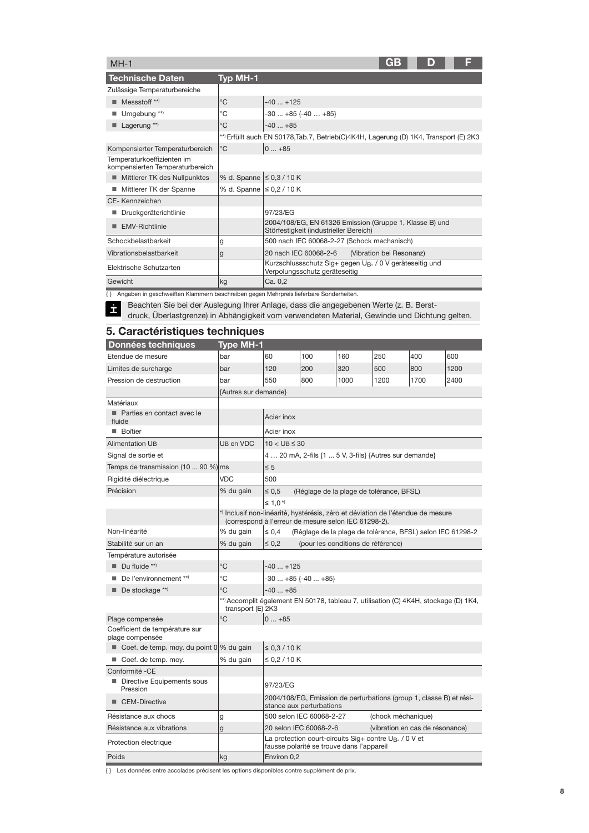| $MH-1$                                                        |                               | GB<br>D                                                                                              |
|---------------------------------------------------------------|-------------------------------|------------------------------------------------------------------------------------------------------|
| <b>Technische Daten</b>                                       | Typ MH-1                      |                                                                                                      |
| Zulässige Temperaturbereiche                                  |                               |                                                                                                      |
| Messstoff **)                                                 | $^{\circ}C$                   | $-40+125$                                                                                            |
| Umgebung <sup>**</sup> )                                      | °C                            | $-30+85$ {-40  +85}                                                                                  |
| Lagerung **)                                                  | $^{\circ}C$                   | $-40+85$                                                                                             |
|                                                               |                               | **) Erfüllt auch EN 50178, Tab.7, Betrieb(C)4K4H, Lagerung (D) 1K4, Transport (E) 2K3                |
| Kompensierter Temperaturbereich                               | $^{\circ}C$                   | $ 0+85$                                                                                              |
| Temperaturkoeffizienten im<br>kompensierten Temperaturbereich |                               |                                                                                                      |
| Mittlerer TK des Nullpunktes                                  | % d. Spanne $\leq 0.3 / 10 K$ |                                                                                                      |
| Mittlerer TK der Spanne                                       | % d. Spanne   ≤ 0,2 / 10 K    |                                                                                                      |
| CE-Kennzeichen                                                |                               |                                                                                                      |
| Druckgeräterichtlinie                                         |                               | 97/23/EG                                                                                             |
| <b>EMV-Richtlinie</b>                                         |                               | 2004/108/EG, EN 61326 Emission (Gruppe 1, Klasse B) und<br>Störfestigkeit (industrieller Bereich)    |
| Schockbelastbarkeit                                           | g                             | 500 nach IEC 60068-2-27 (Schock mechanisch)                                                          |
| Vibrationsbelastbarkeit                                       | g                             | 20 nach IEC 60068-2-6<br>(Vibration bei Resonanz)                                                    |
| Elektrische Schutzarten                                       |                               | Kurzschlussschutz Sig+ gegen U <sub>B-</sub> / 0 V geräteseitig und<br>Verpolungsschutz geräteseitig |
| Gewicht                                                       | kg                            | Ca. 0,2                                                                                              |

{ } Angaben in geschweiften Klammern beschreiben gegen Mehrpreis lieferbare Sonderheiten.

Ë Beachten Sie bei der Auslegung Ihrer Anlage, dass die angegebenen Werte (z. B. Berst-

druck, Überlastgrenze) in Abhängigkeit vom verwendeten Material, Gewinde und Dichtung gelten.

# **5. Caractéristiques techniques**

| Données techniques                                | <b>Type MH-1</b>                                                                                                                        |                                                                                                                |                                                            |                                    |      |      |      |  |
|---------------------------------------------------|-----------------------------------------------------------------------------------------------------------------------------------------|----------------------------------------------------------------------------------------------------------------|------------------------------------------------------------|------------------------------------|------|------|------|--|
| Etendue de mesure                                 | bar                                                                                                                                     | 60                                                                                                             | 100                                                        | 160                                | 250  | 400  | 600  |  |
| Limites de surcharge                              | bar                                                                                                                                     | 120                                                                                                            | 200                                                        | 320                                | 500  | 800  | 1200 |  |
| Pression de destruction                           | bar                                                                                                                                     | 550                                                                                                            | 800                                                        | 1000                               | 1200 | 1700 | 2400 |  |
|                                                   | {Autres sur demande}                                                                                                                    |                                                                                                                |                                                            |                                    |      |      |      |  |
| Matériaux                                         |                                                                                                                                         |                                                                                                                |                                                            |                                    |      |      |      |  |
| Parties en contact avec le<br>fluide              |                                                                                                                                         | Acier inox                                                                                                     |                                                            |                                    |      |      |      |  |
| ■ Boîtier                                         |                                                                                                                                         | Acier inox                                                                                                     |                                                            |                                    |      |      |      |  |
| <b>Alimentation UB</b>                            | UB en VDC                                                                                                                               | $10 <$ UB $\leq 30$                                                                                            |                                                            |                                    |      |      |      |  |
| Signal de sortie et                               |                                                                                                                                         |                                                                                                                | 4  20 mA, 2-fils {1  5 V, 3-fils} {Autres sur demande}     |                                    |      |      |      |  |
| Temps de transmission (10  90 %) ms               |                                                                                                                                         | $\leq 5$                                                                                                       |                                                            |                                    |      |      |      |  |
| Rigidité diélectrique                             | <b>VDC</b>                                                                                                                              | 500                                                                                                            |                                                            |                                    |      |      |      |  |
| Précision                                         | % du gain                                                                                                                               | $\leq 0.5$                                                                                                     | (Réglage de la plage de tolérance, BFSL)                   |                                    |      |      |      |  |
|                                                   |                                                                                                                                         | $\leq 1.0$ <sup>*</sup>                                                                                        |                                                            |                                    |      |      |      |  |
|                                                   | *) Inclusif non-linéarité, hystérésis, zéro et déviation de l'étendue de mesure<br>(correspond à l'erreur de mesure selon IEC 61298-2). |                                                                                                                |                                                            |                                    |      |      |      |  |
| Non-linéarité                                     | % du gain                                                                                                                               | $\leq 0.4$                                                                                                     | (Réglage de la plage de tolérance, BFSL) selon IEC 61298-2 |                                    |      |      |      |  |
| Stabilité sur un an                               | % du gain                                                                                                                               | $\leq 0.2$                                                                                                     |                                                            | (pour les conditions de référence) |      |      |      |  |
| Température autorisée                             |                                                                                                                                         |                                                                                                                |                                                            |                                    |      |      |      |  |
| $\blacksquare$ Du fluide **)                      | °C                                                                                                                                      | $-40+125$                                                                                                      |                                                            |                                    |      |      |      |  |
| De l'environnement **)                            | °C                                                                                                                                      |                                                                                                                | $-30+85$ {-40  +85}                                        |                                    |      |      |      |  |
| $\blacksquare$ De stockage **)                    | °C                                                                                                                                      | $-40+85$                                                                                                       |                                                            |                                    |      |      |      |  |
|                                                   | **) Accomplit également EN 50178, tableau 7, utilisation (C) 4K4H, stockage (D) 1K4,<br>transport (E) 2K3                               |                                                                                                                |                                                            |                                    |      |      |      |  |
| Plage compensée                                   | °C                                                                                                                                      | $0+85$                                                                                                         |                                                            |                                    |      |      |      |  |
| Coefficient de température sur<br>plage compensée |                                                                                                                                         |                                                                                                                |                                                            |                                    |      |      |      |  |
| ■ Coef. de temp. moy. du point 0                  | % du gain                                                                                                                               | $\leq$ 0.3 / 10 K                                                                                              |                                                            |                                    |      |      |      |  |
| ■ Coef. de temp. moy.                             | % du gain                                                                                                                               | ≤ 0,2 / 10 K                                                                                                   |                                                            |                                    |      |      |      |  |
| Conformité -CE                                    |                                                                                                                                         |                                                                                                                |                                                            |                                    |      |      |      |  |
| Directive Equipements sous<br>Pression            |                                                                                                                                         | 97/23/EG                                                                                                       |                                                            |                                    |      |      |      |  |
| <b>CEM-Directive</b><br>ш                         |                                                                                                                                         | 2004/108/EG, Emission de perturbations (group 1, classe B) et rési-<br>stance aux perturbations                |                                                            |                                    |      |      |      |  |
| Résistance aux chocs                              | g                                                                                                                                       | 500 selon IEC 60068-2-27<br>(chock méchanique)                                                                 |                                                            |                                    |      |      |      |  |
| Résistance aux vibrations                         | $\mathbf{g}$                                                                                                                            | 20 selon IEC 60068-2-6<br>(vibration en cas de résonance)                                                      |                                                            |                                    |      |      |      |  |
| Protection électrique                             |                                                                                                                                         | La protection court-circuits Sig+ contre U <sub>B-</sub> / 0 V et<br>fausse polarité se trouve dans l'appareil |                                                            |                                    |      |      |      |  |
| Poids                                             | kg                                                                                                                                      | Environ 0,2                                                                                                    |                                                            |                                    |      |      |      |  |

{ } Les données entre accolades précisent les options disponibles contre supplément de prix.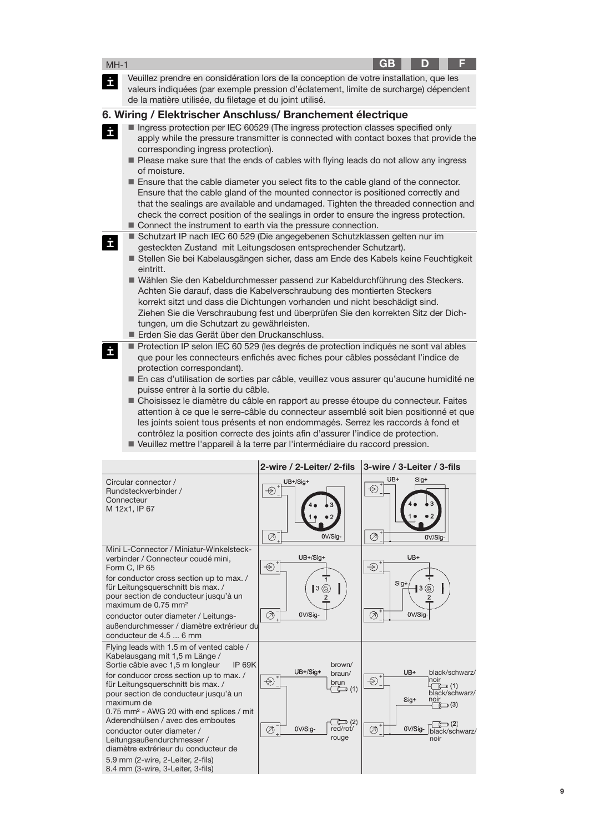| $MH-1$                                                                                                                                                                                                                                                                                                                                                                                                                                                                                                                                                                                                                                                                                                                                                                                |                                                                                                                                                                                                                                                                                                                                                                                                                                                                                                                                                                                                                                                                                                                                                   |                                                                                                                  | GB                    | D                                                                   |                                                                                             |
|---------------------------------------------------------------------------------------------------------------------------------------------------------------------------------------------------------------------------------------------------------------------------------------------------------------------------------------------------------------------------------------------------------------------------------------------------------------------------------------------------------------------------------------------------------------------------------------------------------------------------------------------------------------------------------------------------------------------------------------------------------------------------------------|---------------------------------------------------------------------------------------------------------------------------------------------------------------------------------------------------------------------------------------------------------------------------------------------------------------------------------------------------------------------------------------------------------------------------------------------------------------------------------------------------------------------------------------------------------------------------------------------------------------------------------------------------------------------------------------------------------------------------------------------------|------------------------------------------------------------------------------------------------------------------|-----------------------|---------------------------------------------------------------------|---------------------------------------------------------------------------------------------|
| İ                                                                                                                                                                                                                                                                                                                                                                                                                                                                                                                                                                                                                                                                                                                                                                                     | Veuillez prendre en considération lors de la conception de votre installation, que les<br>valeurs indiquées (par exemple pression d'éclatement, limite de surcharge) dépendent<br>de la matière utilisée, du filetage et du joint utilisé.                                                                                                                                                                                                                                                                                                                                                                                                                                                                                                        |                                                                                                                  |                       |                                                                     |                                                                                             |
|                                                                                                                                                                                                                                                                                                                                                                                                                                                                                                                                                                                                                                                                                                                                                                                       | 6. Wiring / Elektrischer Anschluss/ Branchement électrique                                                                                                                                                                                                                                                                                                                                                                                                                                                                                                                                                                                                                                                                                        |                                                                                                                  |                       |                                                                     |                                                                                             |
| İ                                                                                                                                                                                                                                                                                                                                                                                                                                                                                                                                                                                                                                                                                                                                                                                     | Ingress protection per IEC 60529 (The ingress protection classes specified only<br>apply while the pressure transmitter is connected with contact boxes that provide the<br>corresponding ingress protection).<br>Please make sure that the ends of cables with flying leads do not allow any ingress<br>of moisture.<br>■ Ensure that the cable diameter you select fits to the cable gland of the connector.<br>Ensure that the cable gland of the mounted connector is positioned correctly and<br>that the sealings are available and undamaged. Tighten the threaded connection and<br>check the correct position of the sealings in order to ensure the ingress protection.<br>Connect the instrument to earth via the pressure connection. |                                                                                                                  |                       |                                                                     |                                                                                             |
| İ                                                                                                                                                                                                                                                                                                                                                                                                                                                                                                                                                                                                                                                                                                                                                                                     | Schutzart IP nach IEC 60 529 (Die angegebenen Schutzklassen gelten nur im<br>gesteckten Zustand mit Leitungsdosen entsprechender Schutzart).<br>Stellen Sie bei Kabelausgängen sicher, dass am Ende des Kabels keine Feuchtigkeit<br>eintritt.<br>■ Wählen Sie den Kabeldurchmesser passend zur Kabeldurchführung des Steckers.<br>Achten Sie darauf, dass die Kabelverschraubung des montierten Steckers<br>korrekt sitzt und dass die Dichtungen vorhanden und nicht beschädigt sind.<br>Ziehen Sie die Verschraubung fest und überprüfen Sie den korrekten Sitz der Dich-<br>tungen, um die Schutzart zu gewährleisten.<br>Erden Sie das Gerät über den Druckanschluss.                                                                        |                                                                                                                  |                       |                                                                     |                                                                                             |
| Protection IP selon IEC 60 529 (les degrés de protection indiqués ne sont val ables<br>İ<br>que pour les connecteurs enfichés avec fiches pour câbles possédant l'indice de<br>protection correspondant).<br>En cas d'utilisation de sorties par câble, veuillez vous assurer qu'aucune humidité ne<br>puisse entrer à la sortie du câble.<br>■ Choisissez le diamètre du câble en rapport au presse étoupe du connecteur. Faites<br>attention à ce que le serre-câble du connecteur assemblé soit bien positionné et que<br>les joints soient tous présents et non endommagés. Serrez les raccords à fond et<br>contrôlez la position correcte des joints afin d'assurer l'indice de protection.<br>■ Veuillez mettre l'appareil à la terre par l'intermédiaire du raccord pression. |                                                                                                                                                                                                                                                                                                                                                                                                                                                                                                                                                                                                                                                                                                                                                   |                                                                                                                  |                       |                                                                     |                                                                                             |
|                                                                                                                                                                                                                                                                                                                                                                                                                                                                                                                                                                                                                                                                                                                                                                                       |                                                                                                                                                                                                                                                                                                                                                                                                                                                                                                                                                                                                                                                                                                                                                   | 2-wire / 2-Leiter/ 2-fils                                                                                        |                       | 3-wire / 3-Leiter / 3-fils                                          |                                                                                             |
|                                                                                                                                                                                                                                                                                                                                                                                                                                                                                                                                                                                                                                                                                                                                                                                       | Circular connector /<br>Rundsteckverbinder /<br>Connecteur<br>M 12x1, IP 67                                                                                                                                                                                                                                                                                                                                                                                                                                                                                                                                                                                                                                                                       | UB+/Sig+<br>$\circledast$<br>$\oslash \bar{}$<br>0V/Sig-                                                         | UB+<br>⇔<br>$\oslash$ | Sig+<br>0V/Sig-                                                     |                                                                                             |
|                                                                                                                                                                                                                                                                                                                                                                                                                                                                                                                                                                                                                                                                                                                                                                                       | Mini L-Connector / Miniatur-Winkelsteck-<br>verbinder / Connecteur coudé mini,<br>Form C, IP 65<br>for conductor cross section up to max. /<br>für Leitungsquerschnitt bis max. /<br>pour section de conducteur jusqu'à un<br>maximum de 0.75 mm <sup>2</sup><br>conductor outer diameter / Leitungs-<br>außendurchmesser / diamètre extrérieur du<br>conducteur de 4.5  6 mm                                                                                                                                                                                                                                                                                                                                                                     | UB+/Sig+<br>$\bigcirc$ .<br>$\mathsf{I}^3$<br>$\overline{\mathcal{O}}_{*}$<br>0V/Sig-                            | €<br>Sig+<br>⊘        | UB+<br> 3 (C)<br>0V/Sig-                                            |                                                                                             |
|                                                                                                                                                                                                                                                                                                                                                                                                                                                                                                                                                                                                                                                                                                                                                                                       | Flying leads with 1.5 m of vented cable /<br>Kabelausgang mit 1,5 m Länge /<br>Sortie câble avec 1,5 m longleur<br><b>IP 69K</b><br>for conducor cross section up to max. /<br>für Leitungsquerschnitt bis max. /<br>pour section de conducteur jusqu'à un<br>maximum de<br>0.75 mm <sup>2</sup> - AWG 20 with end splices / mit<br>Aderendhülsen / avec des emboutes<br>conductor outer diameter /<br>Leitungsaußendurchmesser /<br>diamètre extrérieur du conducteur de<br>5.9 mm (2-wire, 2-Leiter, 2-fils)<br>8.4 mm (3-wire, 3-Leiter, 3-fils)                                                                                                                                                                                               | brown/<br>UB+/Sig+<br>braun/<br>⊜<br>brun<br>$\mathbb{C}$ (1)<br>$\Box$ (2)<br>0V/Sig-<br>red/rot/<br>Ø<br>rouge | (→<br>⊘               | UB+<br>noir<br>$\bigoplus$ (1)<br>$Sig+$<br>noir<br>0V/Sig-<br>noir | black/schwarz/<br>black/schwarz/<br>$\overline{\phantom{a}}(3)$<br>TC (2)<br>black/schwarz/ |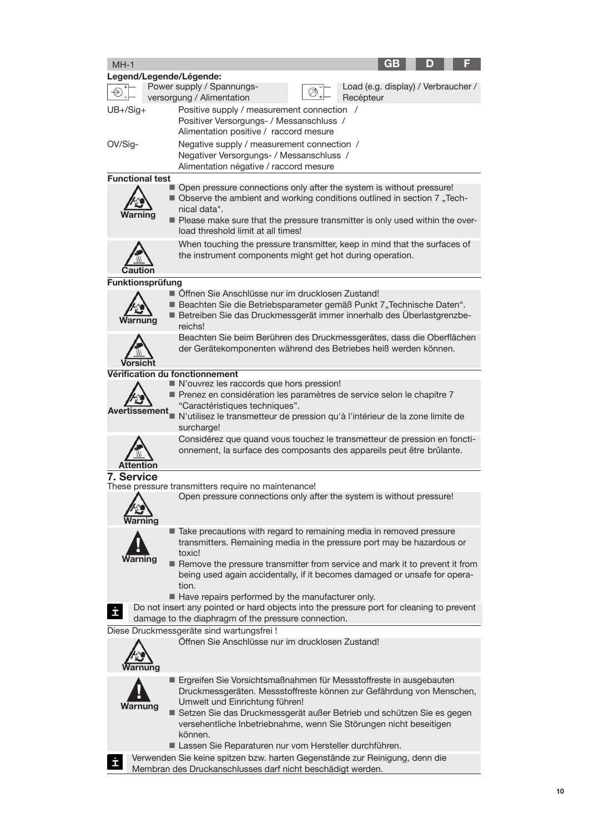| $MH-1$            |                        | GB                                                                                                                                                                                                                                                                                                                                                                                                 |
|-------------------|------------------------|----------------------------------------------------------------------------------------------------------------------------------------------------------------------------------------------------------------------------------------------------------------------------------------------------------------------------------------------------------------------------------------------------|
|                   |                        | Legend/Legende/Légende:                                                                                                                                                                                                                                                                                                                                                                            |
|                   |                        | Power supply / Spannungs-<br>Load (e.g. display) / Verbraucher /<br>versorgung / Alimentation<br>Recépteur                                                                                                                                                                                                                                                                                         |
| $UB + / Sig +$    |                        | Positive supply / measurement connection /<br>Positiver Versorgungs- / Messanschluss /<br>Alimentation positive / raccord mesure                                                                                                                                                                                                                                                                   |
| OV/Sig-           |                        | Negative supply / measurement connection /<br>Negativer Versorgungs- / Messanschluss /<br>Alimentation négative / raccord mesure                                                                                                                                                                                                                                                                   |
|                   | <b>Functional test</b> |                                                                                                                                                                                                                                                                                                                                                                                                    |
|                   |                        | Open pressure connections only after the system is without pressure!<br>■ Observe the ambient and working conditions outlined in section 7 "Tech-<br>nical data".<br>Please make sure that the pressure transmitter is only used within the over-<br>load threshold limit at all times!                                                                                                            |
|                   |                        | When touching the pressure transmitter, keep in mind that the surfaces of<br>the instrument components might get hot during operation.                                                                                                                                                                                                                                                             |
|                   | Funktionsprüfung       |                                                                                                                                                                                                                                                                                                                                                                                                    |
|                   | una                    | ■ Öffnen Sie Anschlüsse nur im drucklosen Zustand!<br>Beachten Sie die Betriebsparameter gemäß Punkt 7"Technische Daten".<br>Betreiben Sie das Druckmessgerät immer innerhalb des Überlastgrenzbe-<br>reichs!                                                                                                                                                                                      |
|                   | Vorsicht               | Beachten Sie beim Berühren des Druckmessgerätes, dass die Oberflächen<br>der Gerätekomponenten während des Betriebes heiß werden können.                                                                                                                                                                                                                                                           |
|                   |                        | Vérification du fonctionnement                                                                                                                                                                                                                                                                                                                                                                     |
|                   | <b>Avertissement</b>   | N'ouvrez les raccords que hors pression!<br>Prenez en considération les paramètres de service selon le chapitre 7<br>"Caractéristiques techniques".<br>N'utilisez le transmetteur de pression qu'à l'intérieur de la zone limite de<br>surcharge!                                                                                                                                                  |
| Affenti           |                        | Considérez que quand vous touchez le transmetteur de pression en foncti-<br>onnement, la surface des composants des appareils peut être brûlante.                                                                                                                                                                                                                                                  |
| <b>7. Service</b> |                        |                                                                                                                                                                                                                                                                                                                                                                                                    |
|                   |                        | These pressure transmitters require no maintenance!                                                                                                                                                                                                                                                                                                                                                |
|                   |                        | Open pressure connections only after the system is without pressure!                                                                                                                                                                                                                                                                                                                               |
|                   | Warning                | ■ Take precautions with regard to remaining media in removed pressure<br>transmitters. Remaining media in the pressure port may be hazardous or<br>toxic!<br>Remove the pressure transmitter from service and mark it to prevent it from<br>being used again accidentally, if it becomes damaged or unsafe for opera-<br>tion.                                                                     |
| İ                 |                        | Have repairs performed by the manufacturer only.<br>Do not insert any pointed or hard objects into the pressure port for cleaning to prevent<br>damage to the diaphragm of the pressure connection.                                                                                                                                                                                                |
|                   |                        | Diese Druckmessgeräte sind wartungsfrei!                                                                                                                                                                                                                                                                                                                                                           |
|                   | nung                   | Öffnen Sie Anschlüsse nur im drucklosen Zustand!                                                                                                                                                                                                                                                                                                                                                   |
|                   | Warnung                | ■ Ergreifen Sie Vorsichtsmaßnahmen für Messstoffreste in ausgebauten<br>Druckmessgeräten. Messstoffreste können zur Gefährdung von Menschen,<br>Umwelt und Einrichtung führen!<br>Setzen Sie das Druckmessgerät außer Betrieb und schützen Sie es gegen<br>versehentliche Inbetriebnahme, wenn Sie Störungen nicht beseitigen<br>können.<br>Lassen Sie Reparaturen nur vom Hersteller durchführen. |
|                   |                        | Verwenden Sie keine spitzen bzw. harten Gegenstände zur Reinigung, denn die<br>ahran dee Drugkenseblueses derf nicht beschödigt werden                                                                                                                                                                                                                                                             |

Membran des Druckanschlusses darf nicht beschädigt werden.